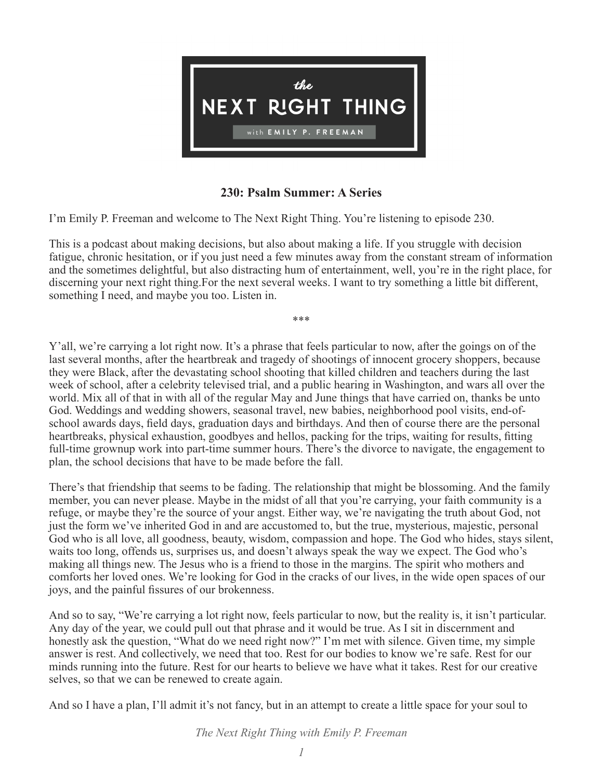

## **230: Psalm Summer: A Series**

I'm Emily P. Freeman and welcome to The Next Right Thing. You're listening to episode 230.

This is a podcast about making decisions, but also about making a life. If you struggle with decision fatigue, chronic hesitation, or if you just need a few minutes away from the constant stream of information and the sometimes delightful, but also distracting hum of entertainment, well, you're in the right place, for discerning your next right thing.For the next several weeks. I want to try something a little bit different, something I need, and maybe you too. Listen in.

\*\*\*

Y'all, we're carrying a lot right now. It's a phrase that feels particular to now, after the goings on of the last several months, after the heartbreak and tragedy of shootings of innocent grocery shoppers, because they were Black, after the devastating school shooting that killed children and teachers during the last week of school, after a celebrity televised trial, and a public hearing in Washington, and wars all over the world. Mix all of that in with all of the regular May and June things that have carried on, thanks be unto God. Weddings and wedding showers, seasonal travel, new babies, neighborhood pool visits, end-ofschool awards days, field days, graduation days and birthdays. And then of course there are the personal heartbreaks, physical exhaustion, goodbyes and hellos, packing for the trips, waiting for results, fitting full-time grownup work into part-time summer hours. There's the divorce to navigate, the engagement to plan, the school decisions that have to be made before the fall.

There's that friendship that seems to be fading. The relationship that might be blossoming. And the family member, you can never please. Maybe in the midst of all that you're carrying, your faith community is a refuge, or maybe they're the source of your angst. Either way, we're navigating the truth about God, not just the form we've inherited God in and are accustomed to, but the true, mysterious, majestic, personal God who is all love, all goodness, beauty, wisdom, compassion and hope. The God who hides, stays silent, waits too long, offends us, surprises us, and doesn't always speak the way we expect. The God who's making all things new. The Jesus who is a friend to those in the margins. The spirit who mothers and comforts her loved ones. We're looking for God in the cracks of our lives, in the wide open spaces of our joys, and the painful fissures of our brokenness.

And so to say, "We're carrying a lot right now, feels particular to now, but the reality is, it isn't particular. Any day of the year, we could pull out that phrase and it would be true. As I sit in discernment and honestly ask the question, "What do we need right now?" I'm met with silence. Given time, my simple answer is rest. And collectively, we need that too. Rest for our bodies to know we're safe. Rest for our minds running into the future. Rest for our hearts to believe we have what it takes. Rest for our creative selves, so that we can be renewed to create again.

And so I have a plan, I'll admit it's not fancy, but in an attempt to create a little space for your soul to

*The Next Right Thing with Emily P. Freeman*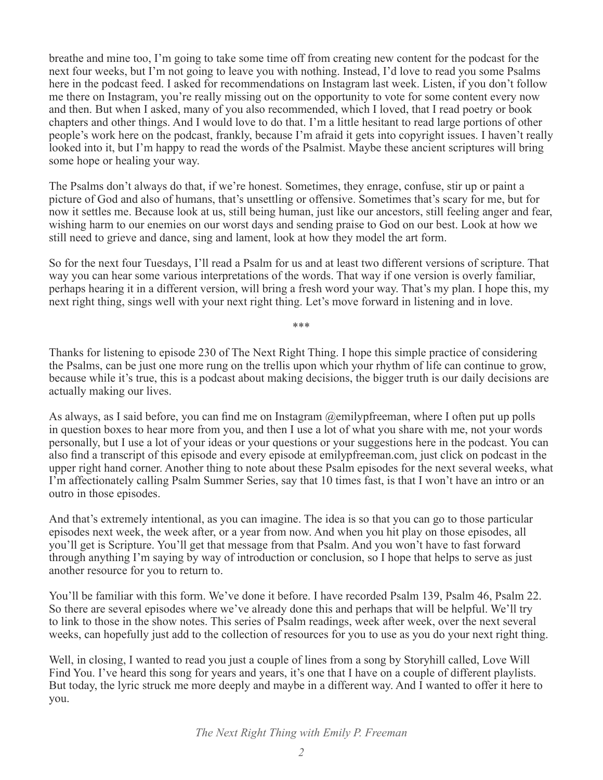breathe and mine too, I'm going to take some time off from creating new content for the podcast for the next four weeks, but I'm not going to leave you with nothing. Instead, I'd love to read you some Psalms here in the podcast feed. I asked for recommendations on Instagram last week. Listen, if you don't follow me there on Instagram, you're really missing out on the opportunity to vote for some content every now and then. But when I asked, many of you also recommended, which I loved, that I read poetry or book chapters and other things. And I would love to do that. I'm a little hesitant to read large portions of other people's work here on the podcast, frankly, because I'm afraid it gets into copyright issues. I haven't really looked into it, but I'm happy to read the words of the Psalmist. Maybe these ancient scriptures will bring some hope or healing your way.

The Psalms don't always do that, if we're honest. Sometimes, they enrage, confuse, stir up or paint a picture of God and also of humans, that's unsettling or offensive. Sometimes that's scary for me, but for now it settles me. Because look at us, still being human, just like our ancestors, still feeling anger and fear, wishing harm to our enemies on our worst days and sending praise to God on our best. Look at how we still need to grieve and dance, sing and lament, look at how they model the art form.

So for the next four Tuesdays, I'll read a Psalm for us and at least two different versions of scripture. That way you can hear some various interpretations of the words. That way if one version is overly familiar, perhaps hearing it in a different version, will bring a fresh word your way. That's my plan. I hope this, my next right thing, sings well with your next right thing. Let's move forward in listening and in love.

\*\*\*

Thanks for listening to episode 230 of The Next Right Thing. I hope this simple practice of considering the Psalms, can be just one more rung on the trellis upon which your rhythm of life can continue to grow, because while it's true, this is a podcast about making decisions, the bigger truth is our daily decisions are actually making our lives.

As always, as I said before, you can find me on Instagram @emilypfreeman, where I often put up polls in question boxes to hear more from you, and then I use a lot of what you share with me, not your words personally, but I use a lot of your ideas or your questions or your suggestions here in the podcast. You can also find a transcript of this episode and every episode at emilypfreeman.com, just click on podcast in the upper right hand corner. Another thing to note about these Psalm episodes for the next several weeks, what I'm affectionately calling Psalm Summer Series, say that 10 times fast, is that I won't have an intro or an outro in those episodes.

And that's extremely intentional, as you can imagine. The idea is so that you can go to those particular episodes next week, the week after, or a year from now. And when you hit play on those episodes, all you'll get is Scripture. You'll get that message from that Psalm. And you won't have to fast forward through anything I'm saying by way of introduction or conclusion, so I hope that helps to serve as just another resource for you to return to.

You'll be familiar with this form. We've done it before. I have recorded Psalm 139, Psalm 46, Psalm 22. So there are several episodes where we've already done this and perhaps that will be helpful. We'll try to link to those in the show notes. This series of Psalm readings, week after week, over the next several weeks, can hopefully just add to the collection of resources for you to use as you do your next right thing.

Well, in closing, I wanted to read you just a couple of lines from a song by Storyhill called, Love Will Find You. I've heard this song for years and years, it's one that I have on a couple of different playlists. But today, the lyric struck me more deeply and maybe in a different way. And I wanted to offer it here to you.

*The Next Right Thing with Emily P. Freeman*